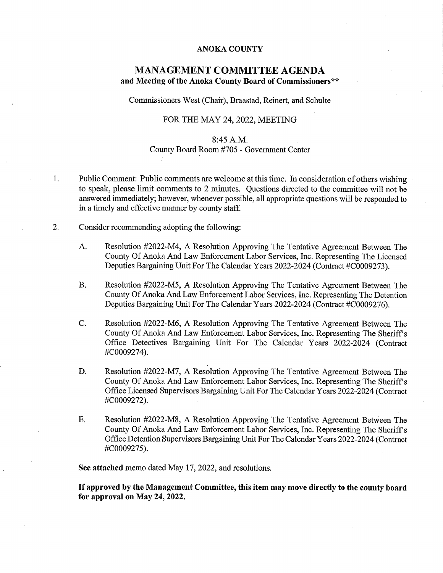## ANOKA COUNTY

## MANAGEMENT COMMITTEE AGENDA and Meeting of the Anoka County Board of Commissioners\*\*

Commissioners West (Chair), Braastad, Reinert, and Schulte

## FOR THE MAY 24, 2022, MEETING

## 8:45 A.M.

## County Board Room #705 - Government Center

- Public Comment: Public comments are welcome at this time. In consideration of others wishing 1. to speak, please limit comments to 2 minutes. Questions directed to the committee will not be answered immediately; however, whenever possible, all appropriate questions will be responded to in a timely and effective manner by county staff.
- 2. Consider recommending adopting the following:
	- A. Resolution #2022-M4, A Resolution Approving The Tentative Agreement Between The County Of Anoka And Law Enforcement Labor Services, Inc. Representing The Licensed Deputies Bargaining Unit For The Calendar Years 2022-2024 (Contract #COOO9273).
	- B. Resolution #2022-M5, A Resolution Approving The Tentative Agreement Between The County Of Anoka And Law Enforcement Labor Services, Inc. Representing The Detention Deputies Bargaining Unit For The Calendar Years 2022-2024 (Contract #COOO9276).
	- C. Resolution #2022-M6, A Resolution Approving The Tentative Agreement Between The County Of Anoka And Law Enforcement Labor Services, Inc. Representing The Sheriff's Office Detectives Bargaining Unit For The Calendar Years 2022-2024 (Contract #COOO9274).
	- D. Resolution #2022-M7, A Resolution Approving The Tentative Agreement Between The County Of Anoka And Law Enforcement Labor Services, Inc. Representing The Sheriffs Office Licensed Supervisors Bargaining Unit For The Calendar Years 2022-2024 (Contract #COOO9272).
	- E. Resolution #2022-M8, A Resolution Approving The Tentative Agreement Between The County Of Anoka And Law Enforcement Labor Services, Inc. Representing The Sheriff's Office Detention Supervisors Bargaining Unit For The Calendar Years 2022-2024 (Contract #COOO9275).

See attached memo dated May 17, 2022, and resolutions.

If approved by the Management Committee, this item may move directly to the county board for approval on May 24, 2022.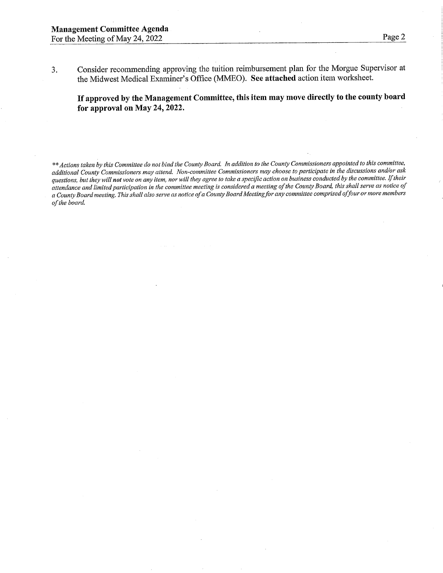3. Consider recommending approving the tuition reimbursement plan for the Morgue Supervisor at the Midwest Medical Examiner's Office (MMEO). See attached action item worksheet.

If approved by the Management Committee, this item may move directly to the county board for approval on May 24, 2022.

\*\* Actions taken by this Committee do not bind the County Board. In addition to the County Commissioners appointed to this committee, additional County Commissioners may attend. Won-committee Commissioners may choose to participate in the discussions and/or ask questions, but they will not vote on any item, nor will they agree to take a specific action on business conducted by the committee. If their attendance and limited participation in the committee meeting is considered a meeting of the County Board, this shall serve as notice of a County Board meeting. This shall also serve as notice of a County Board Meeting for any committee comprised of four or more members ofthe board.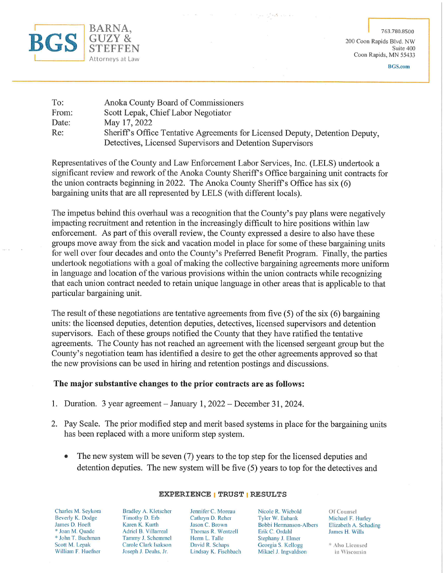

763.780.8500

200 Coon Rapids Blvd. NW Suite 400 Coon Rapids, MN 55433

BGS.com

| To:   | Anoka County Board of Commissioners                                          |  |
|-------|------------------------------------------------------------------------------|--|
| From: | Scott Lepak, Chief Labor Negotiator                                          |  |
| Date: | May 17, 2022                                                                 |  |
| Re:   | Sheriff's Office Tentative Agreements for Licensed Deputy, Detention Deputy, |  |
|       | Detectives, Licensed Supervisors and Detention Supervisors                   |  |

Representatives of the County and Law Enforcement Labor Services, Inc. (LELS) undertook a significant review and rework of the Anoka County Sheriff's Office bargaining unit contracts for the union contracts beginning in 2022. The Anoka County Sheriff's Office has six (6) bargaining units that are all represented by LELS (with different locals).

The impetus behind this overhaul was a recognition that the County's pay plans were negatively impacting recruitment and retention in the increasingly difficult to hire positions within law enforcement. As part of this overall review, the County expressed a desire to also have these groups move away from the sick and vacation model in place for some of these bargaining units for well over four decades and onto the County's Preferred Benefit Program. Finally, the parties undertook negotiations with a goal of making the collective bargaining agreements more uniform in language and location of the various provisions within the union contracts while recognizing that each union contract needed to retain unique language in other areas that is applicable to that particular bargaining unit.

The result of these negotiations are tentative agreements from five (5) of the six (6) bargaining units: the licensed deputies, detention deputies, detectives, licensed supervisors and detention supervisors. Each of these groups notified the County that they have ratified the tentative agreements. The County has not reached an agreement with the licensed sergeant group but the County's negotiation team has identified a desire to get the other agreements approved so that the new provisions can be used in hiring and retention postings and discussions.

## The major substantive changes to the prior contracts are as follows:

- 1. Duration. 3 year agreement January 1, 2022 December 31, 2024.
- 2. Pay Scale. The prior modified step and merit based systems in place for the bargaining units has been replaced with a more uniform step system.
	- The new system will be seven (7) years to the top step for the licensed deputies and detention deputies. The new system will be five (5) years to top for the detectives and

Charles M. Seykora Beverly K. Dodge James D. Hoeft " Joan M. Quade \* John T. Buchm Scott M. Lepak William F. Huefner

Bradley A. Kletscher Timotliy D. Erb Karen K. Kurth Adriel B. Villarreal Tammy J. Schemmel Carole Clark Isakson Joseph J. Deuhs, Jr.

Jennifer C. Moreau Cathryn D. Reher Jason C. Brown Thomas R. Wentzell Herm L. Talle David R. Schaps Lindsay K. Fischbach

Nicole R. Wiebold Tyler W. Eubank Bobbi Hermanson-Albers Erik C. Ordahl Stephany J. Elmer Georgia S. Kellogg Mikael J. Ingvaldson

Of Counsel Michael F. Hurley Elizabeth A. Schading James H. Wills

" Also Licensed in Wisconsin

# EXPERIENCE I TRUST I RESULTS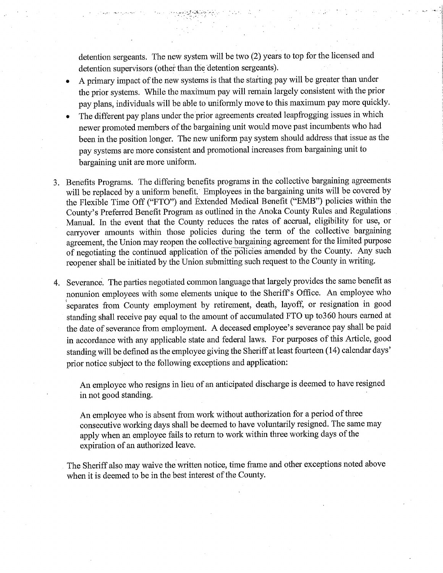detention sergeants. The new system will be two (2) years to top for the licensed and detention supervisors (other than the detention sergeants).

- A primary impact of the new systems is that the starting pay will be greater than under the prior systems. While the maximum pay will remain largely consistent with the prior pay plans, individuals will be able to uniformly move to this maximum pay more quickly.
- The different pay plans under the prior agreements created leapfrogging issues in which newer promoted members of the bargaining unit would move past incumbents who had been in the position longer. The new uniform pay system should address that issue as the pay systems are more consistent and promotional increases from bargaining unit to bargaining unit are more uniform.
- 3. Benefits Programs. The differing benefits programs in the collective bargaining agreements will be replaced by a uniform benefit. Employees in the bargaining units will be covered by the Flexible Time Off ("FTO") and Extended Medical Benefit ("EMB") policies within the County's Preferred Benefit Program as outlined in the Anoka County Rules and Regulations Manual. In the event that the County reduces the rates of accrual, eligibility for use, or carryover amounts within those policies during the term of the collective bargaining agreement, the Union may reopen the collective bargaining agreement for the limited purpose of negotiating the continued application of the policies amended by the County. Any such reopener shall be initiated by the Union submitting such request to the County in writing.
- 4. Severance. The parties negotiated common language that largely provides the same benefit as nonunion employees with some elements unique to the Sheriff's Office. An employee who separates from County employment by retirement, death, layoff, or resignation in good standing shall receive pay equal to the amount of accumulated FTO up to360 hours earned at the date of severance from employment. A deceased employee's severance pay shall be paid in accordance with any applicable state and federal Iaws. For purposes of this Article, good standing will be defined as the employee giving the Sheriff at least fourteen (14) calendar days' prior notice subject to the following exceptions and application:

An employee who resigns in lieu of an anticipated discharge is deemed to have resigned in not good standing.

An employee who is absent from work without authorization for a period of three consecutive working days shall be deemed to have voluntarily resigned. The same may apply when an employee fails to return to work within tmee working days of the expiration of an authorized leave.

The Sheriff also may waive the written notice, time frame and other exceptions noted above when it is deemed to be in the best interest of the County.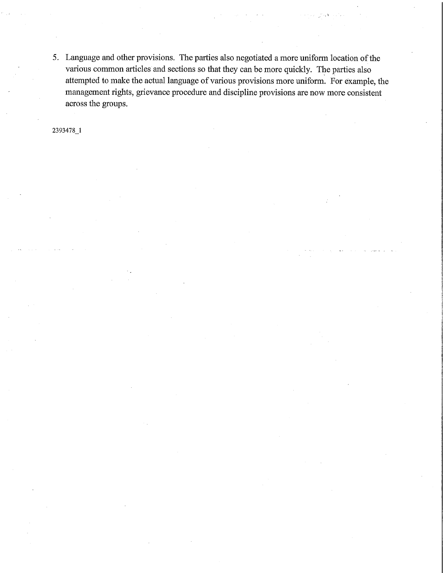5. Language and other provisions. The parties also negotiated a more uniform location of the various common articles and sections so that they can be more quickly. The parties also attempted to make the actual language of various provisions more uniform. For example, the management rights, grievance procedure and discipline provisions are now more consistent across the groups.

2393478\_1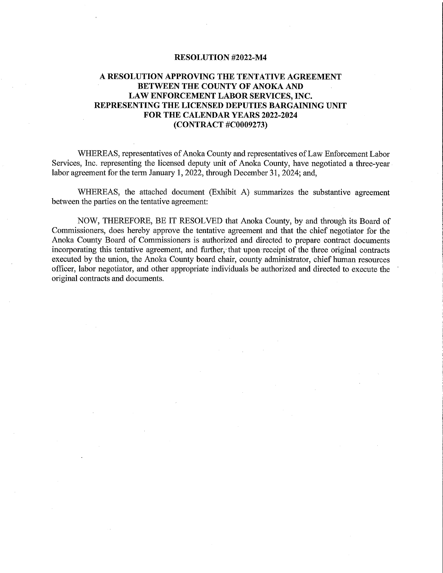# A RESOLUTION APPROVING THE TENTATIVE AGREEMENT BETWEEN THE COUNTY OF ANOKA AND LAW ENFORCEMENT LABOR SERVICES, INC. REPRESENTING THE LICENSED DEPUTIES BARGAINING UNIT FOR THE CALENDAR YEARS 2022-2024 (CONTRACT #COOO9273)

WHEREAS, representatives of Anoka County and representatives of Law Enforcement Labor Services, Inc. representing the licensed deputy unit of Anoka County, have negotiated a three-year labor agreement for the term January 1, 2022, through December 31, 2024; and,

WHEREAS, the attached document (Exhibit A) summarizes the substantive agreement between the parties on the tentative agreement: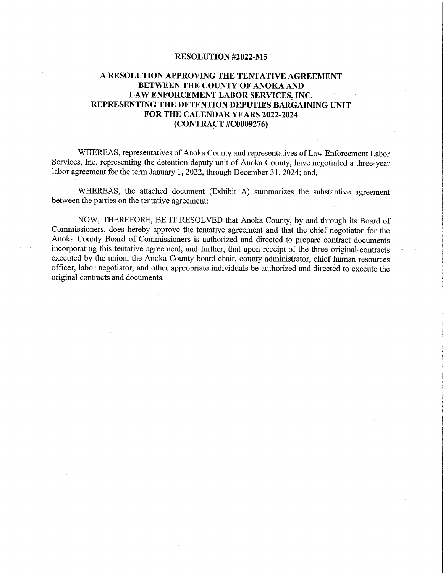# A RESOLUTION APPROVING THE TENTATIVE AGREEMENT BETWEEN THE COUNTY OF ANOKA AND LAW ENFORCEMENT LABOR SERVICES, INC. REPRESENTING THE DETENTION DEPUTIES BARGAINING UNIT FOR THE CALENDAR YEARS 2022-2024 (CONTRACT #COOO9276)

WHEREAS, representatives of Anoka County and representatives of Law Enforcement Labor Services, Inc. representing the detention deputy unit of Anoka County, have negotiated a three-year labor agreement for the term January 1, 2022, through December 31, 2024; and,

WHEREAS, the attached document (Exhibit A) summarizes the substantive agreement between the parties on the tentative agreement: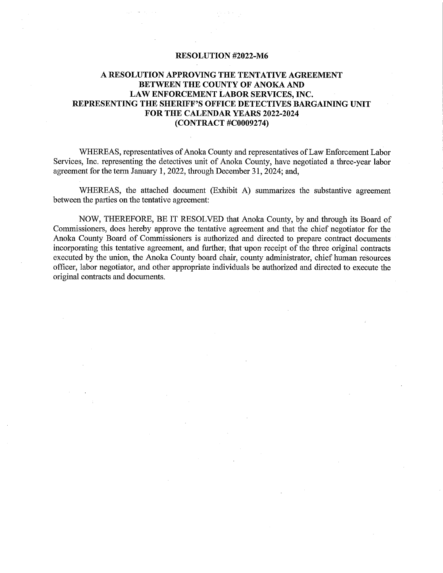# A RESOLUTION APPROVING THE TENTATIVE AGREEMENT BETWEEN THE COUNTY OF ANOKA AND LAW ENFORCEMENT LABOR SERVICES, INC. REPRESENTING THE SHERIFF'S OFFICE DETECTIVES BARGAINING UNIT FOR THE CALENDAR YEARS 2022-2024 (CONTRACT #C0009274)

WHEREAS, representatives of Anoka County and representatives of Law Enforcement Labor Services, Inc. representing the detectives unit of Anoka County, have negotiated a three-year labor agreement for the term January 1, 2022, through December 31, 2024; and,

WHEREAS, the attached document (Exhibit A) summarizes the substantive agreement between the parties on the tentative agreement: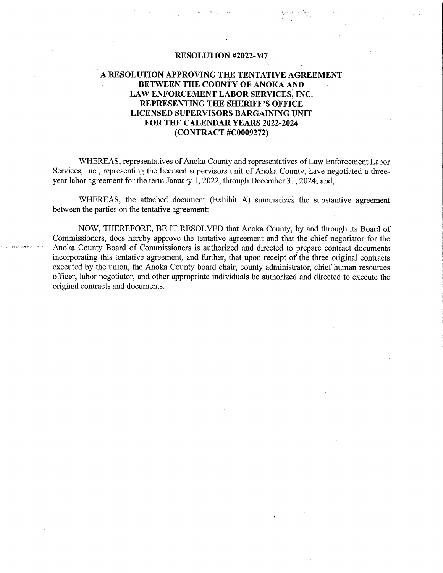## A RESOLUTION APPROVING THE TENTATIVE AGREEMENT BETWEEN THE COUNTY OF ANOKA AND LAW ENFORCEMENT LABOR SERVICES, INC. REPRESENTING THE SHERIFF'S OFFICE LICENSED SUPERVISORS BARGAINING UNIT FOR THE CALENDAR YEARS 2022-2024 (CONTRACT #COOO9272)

WHEREAS, representatives of Anoka County and representatives of Law Enforcement Labor Services, Inc., representing the licensed supervisors unit of Anoka County, have negotiated a threeyear labor agreement for the term January 1, 2022, through December 31, 2024; and,

WHEREAS, the attached document (Exhibit A) summarizes the substantive agreement between the parties on the tentative agreement: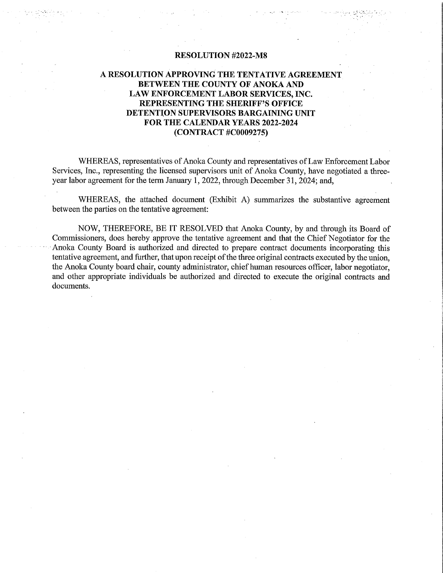## A RESOLUTION APPROVING THE TENTATIVE AGREEMENT BETWEEN THE COUNTY OF ANOKA AND LAW ENFORCEMENT LABOR SERVICES, INC. REPRESENTING THE SHERIFF'S OFFICE DETENTION SUPERVISORS BARGAINING UNIT FOR THE CALENDAR YEARS 2022-2024 (CONTRACT #COOO9275)

WHEREAS, representatives of Anoka County and representatives of Law Enforcement Labor Services, Inc., representing the licensed supervisors unit of Anoka County, have negotiated a threeyear labor agreement for the term January 1, 2022, through December 31, 2024; and,

WHEREAS, the attached document (Exhibit A) summarizes the substantive agreement between the parties on the tentative agreement: